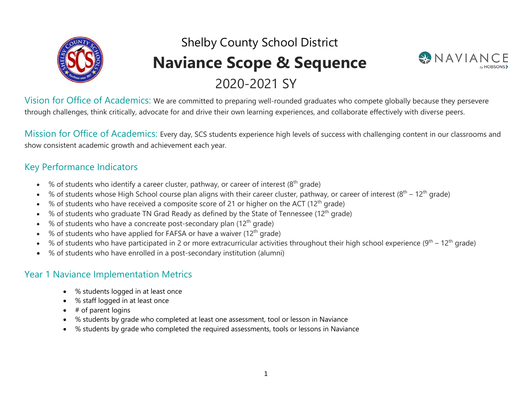

# Shelby County School District **Naviance Scope & Sequence** 2020-2021 SY



Vision for Office of Academics: We are committed to preparing well-rounded graduates who compete globally because they persevere through challenges, think critically, advocate for and drive their own learning experiences, and collaborate effectively with diverse peers.

Mission for Office of Academics: Every day, SCS students experience high levels of success with challenging content in our classrooms and show consistent academic growth and achievement each year.

#### Key Performance Indicators

- % of students who identify a career cluster, pathway, or career of interest  $(8<sup>th</sup>$  grade)
- % of students whose High School course plan aligns with their career cluster, pathway, or career of interest  $(8<sup>th</sup> 12<sup>th</sup>$  grade)
- % of students who have received a composite score of 21 or higher on the ACT ( $12<sup>th</sup>$  grade)
- % of students who graduate TN Grad Ready as defined by the State of Tennessee (12th grade)
- $%$  of students who have a concreate post-secondary plan (12<sup>th</sup> grade)
- % of students who have applied for FAFSA or have a waiver (12th grade)
- % of students who have participated in 2 or more extracurricular activities throughout their high school experience (9<sup>th</sup> 12<sup>th</sup> grade)
- % of students who have enrolled in a post-secondary institution (alumni)

#### Year 1 Naviance Implementation Metrics

- % students logged in at least once
- % staff logged in at least once
- $\bullet$  # of parent logins
- % students by grade who completed at least one assessment, tool or lesson in Naviance
- % students by grade who completed the required assessments, tools or lessons in Naviance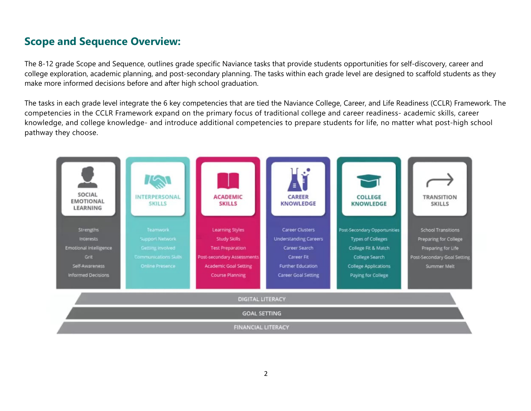#### **Scope and Sequence Overview:**

The 8-12 grade Scope and Sequence, outlines grade specific Naviance tasks that provide students opportunities for self-discovery, career and college exploration, academic planning, and post-secondary planning. The tasks within each grade level are designed to scaffold students as they make more informed decisions before and after high school graduation.

The tasks in each grade level integrate the 6 key competencies that are tied the Naviance College, Career, and Life Readiness (CCLR) Framework. The competencies in the CCLR Framework expand on the primary focus of traditional college and career readiness- academic skills, career knowledge, and college knowledge- and introduce additional competencies to prepare students for life, no matter what post-high school pathway they choose.

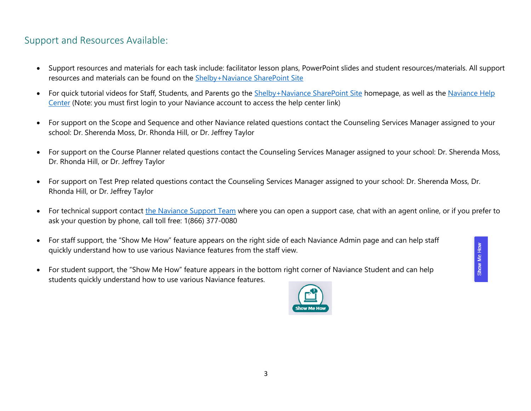#### Support and Resources Available:

- Support resources and materials for each task include: facilitator lesson plans, PowerPoint slides and student resources/materials. All support resources and materials can be found on the Shelby+Naviance SharePoint Site
- For quick tutorial videos for Staff, Students, and Parents go the Shelby+Naviance SharePoint Site homepage, as well as the Naviance Help Center (Note: you must first login to your Naviance account to access the help center link)
- For support on the Scope and Sequence and other Naviance related questions contact the Counseling Services Manager assigned to your school: Dr. Sherenda Moss, Dr. Rhonda Hill, or Dr. Jeffrey Taylor
- For support on the Course Planner related questions contact the Counseling Services Manager assigned to your school: Dr. Sherenda Moss, Dr. Rhonda Hill, or Dr. Jeffrey Taylor
- For support on Test Prep related questions contact the Counseling Services Manager assigned to your school: Dr. Sherenda Moss, Dr. Rhonda Hill, or Dr. Jeffrey Taylor
- For technical support contact the Naviance Support Team where you can open a support case, chat with an agent online, or if you prefer to ask your question by phone, call toll free: 1(866) 377-0080
- For staff support, the "Show Me How" feature appears on the right side of each Naviance Admin page and can help staff quickly understand how to use various Naviance features from the staff view.
- For student support, the "Show Me How" feature appears in the bottom right corner of Naviance Student and can help students quickly understand how to use various Naviance features.



Show Me How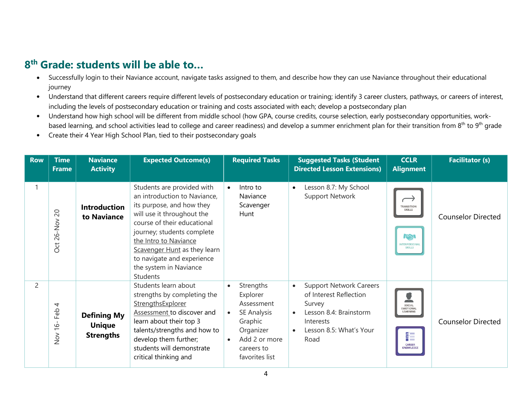- Successfully login to their Naviance account, navigate tasks assigned to them, and describe how they can use Naviance throughout their educational journey
- Understand that different careers require different levels of postsecondary education or training; identify 3 career clusters, pathways, or careers of interest, including the levels of postsecondary education or training and costs associated with each; develop a postsecondary plan
- Understand how high school will be different from middle school (how GPA, course credits, course selection, early postsecondary opportunities, workbased learning, and school activities lead to college and career readiness) and develop a summer enrichment plan for their transition from 8<sup>th</sup> to 9<sup>th</sup> qrade
- Create their 4 Year High School Plan, tied to their postsecondary goals

| <b>Row</b>     | <b>Time</b><br><b>Frame</b>                | <b>Naviance</b><br><b>Activity</b>                      | <b>Expected Outcome(s)</b>                                                                                                                                                                                                                                                                                      | <b>Required Tasks</b>                                                                                                                                              | <b>Suggested Tasks (Student</b><br><b>Directed Lesson Extensions)</b>                                                                                                  | <b>CCLR</b><br><b>Alignment</b>                                                               | <b>Facilitator (s)</b>    |
|----------------|--------------------------------------------|---------------------------------------------------------|-----------------------------------------------------------------------------------------------------------------------------------------------------------------------------------------------------------------------------------------------------------------------------------------------------------------|--------------------------------------------------------------------------------------------------------------------------------------------------------------------|------------------------------------------------------------------------------------------------------------------------------------------------------------------------|-----------------------------------------------------------------------------------------------|---------------------------|
|                | $\overline{c}$<br>26-Nov<br>Oct            | <b>Introduction</b><br>to Naviance                      | Students are provided with<br>an introduction to Naviance,<br>its purpose, and how they<br>will use it throughout the<br>course of their educational<br>journey; students complete<br>the Intro to Naviance<br>Scavenger Hunt as they learn<br>to navigate and experience<br>the system in Naviance<br>Students | Intro to<br>$\bullet$<br>Naviance<br>Scavenger<br>Hunt                                                                                                             | Lesson 8.7: My School<br>$\bullet$<br><b>Support Network</b>                                                                                                           | <b>TRANSITION</b><br><b>SKILLS</b><br>$I\circledcirc$<br><b>INTERPERSONA</b><br><b>SKILLS</b> | <b>Counselor Directed</b> |
| $\overline{2}$ | 4<br>Feb<br>$\frac{6}{5}$<br>$\frac{8}{2}$ | <b>Defining My</b><br><b>Unique</b><br><b>Strengths</b> | Students learn about<br>strengths by completing the<br>StrengthsExplorer<br>Assessment to discover and<br>learn about their top 3<br>talents/strengths and how to<br>develop them further;<br>students will demonstrate<br>critical thinking and                                                                | Strengths<br>$\bullet$<br>Explorer<br>Assessment<br>SE Analysis<br>$\bullet$<br>Graphic<br>Organizer<br>Add 2 or more<br>$\bullet$<br>careers to<br>favorites list | <b>Support Network Careers</b><br>$\bullet$<br>of Interest Reflection<br>Survey<br>Lesson 8.4: Brainstorm<br>$\bullet$<br>Interests<br>Lesson 8.5: What's Your<br>Road | SOCIAL<br>EMOTIONAL<br>LEARNING<br>췙<br><b>CAREER</b><br><b>KNOWLEDGE</b>                     | <b>Counselor Directed</b> |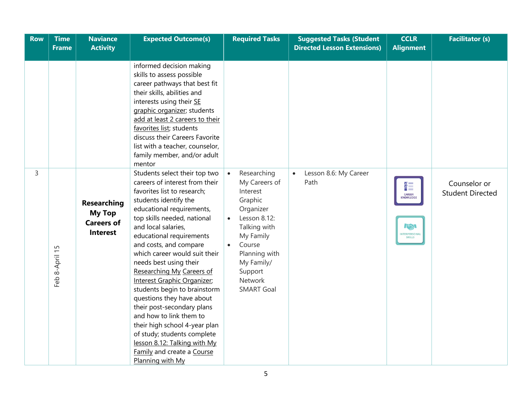| Row | <b>Time</b><br><b>Frame</b> | <b>Naviance</b><br><b>Activity</b>                                          | <b>Expected Outcome(s)</b>                                                                                                                                                                                                                                                                                                                                                                                                                                                                                                                                                                                                                                      | <b>Required Tasks</b>                                                                                                                                                                                                                    | <b>Suggested Tasks (Student</b><br><b>Directed Lesson Extensions)</b> | <b>CCLR</b><br><b>Alignment</b>                               | <b>Facilitator (s)</b>                  |
|-----|-----------------------------|-----------------------------------------------------------------------------|-----------------------------------------------------------------------------------------------------------------------------------------------------------------------------------------------------------------------------------------------------------------------------------------------------------------------------------------------------------------------------------------------------------------------------------------------------------------------------------------------------------------------------------------------------------------------------------------------------------------------------------------------------------------|------------------------------------------------------------------------------------------------------------------------------------------------------------------------------------------------------------------------------------------|-----------------------------------------------------------------------|---------------------------------------------------------------|-----------------------------------------|
|     |                             |                                                                             |                                                                                                                                                                                                                                                                                                                                                                                                                                                                                                                                                                                                                                                                 |                                                                                                                                                                                                                                          |                                                                       |                                                               |                                         |
|     |                             |                                                                             | informed decision making<br>skills to assess possible<br>career pathways that best fit<br>their skills, abilities and<br>interests using their SE<br>graphic organizer; students<br>add at least 2 careers to their<br>favorites list; students<br>discuss their Careers Favorite<br>list with a teacher, counselor,<br>family member, and/or adult<br>mentor                                                                                                                                                                                                                                                                                                   |                                                                                                                                                                                                                                          |                                                                       |                                                               |                                         |
| 3   | Feb 8-April 15              | <b>Researching</b><br><b>My Top</b><br><b>Careers of</b><br><b>Interest</b> | Students select their top two<br>careers of interest from their<br>favorites list to research;<br>students identify the<br>educational requirements,<br>top skills needed, national<br>and local salaries,<br>educational requirements<br>and costs, and compare<br>which career would suit their<br>needs best using their<br>Researching My Careers of<br>Interest Graphic Organizer;<br>students begin to brainstorm<br>questions they have about<br>their post-secondary plans<br>and how to link them to<br>their high school 4-year plan<br>of study; students complete<br>lesson 8.12: Talking with My<br>Family and create a Course<br>Planning with My | Researching<br>$\bullet$<br>My Careers of<br>Interest<br>Graphic<br>Organizer<br>Lesson 8.12:<br>$\bullet$<br>Talking with<br>My Family<br>Course<br>$\bullet$<br>Planning with<br>My Family/<br>Support<br>Network<br><b>SMART Goal</b> | Lesson 8.6: My Career<br>$\bullet$<br>Path                            | 쒩<br><b>CAREER</b><br><b>KNOWLEDGE</b><br>KN<br>INTERPERSONAL | Counselor or<br><b>Student Directed</b> |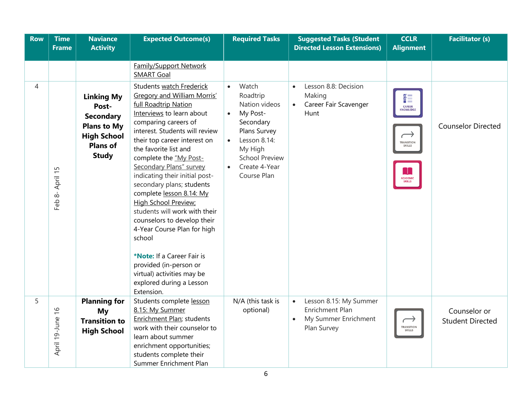| <b>Row</b> | <b>Time</b><br><b>Frame</b> | <b>Naviance</b><br><b>Activity</b>                                                                                            | <b>Expected Outcome(s)</b>                                                                                                                                                                                                                                                                                                                                                                                                                                                                                                                                                                                                                                                                             | <b>Required Tasks</b>                                                                                                                                                                     | <b>Suggested Tasks (Student</b><br><b>Directed Lesson Extensions)</b>                                             | <b>CCLR</b><br><b>Alignment</b>                                                                    | <b>Facilitator (s)</b>                  |
|------------|-----------------------------|-------------------------------------------------------------------------------------------------------------------------------|--------------------------------------------------------------------------------------------------------------------------------------------------------------------------------------------------------------------------------------------------------------------------------------------------------------------------------------------------------------------------------------------------------------------------------------------------------------------------------------------------------------------------------------------------------------------------------------------------------------------------------------------------------------------------------------------------------|-------------------------------------------------------------------------------------------------------------------------------------------------------------------------------------------|-------------------------------------------------------------------------------------------------------------------|----------------------------------------------------------------------------------------------------|-----------------------------------------|
| 4          | Feb 8- April 15             | <b>Linking My</b><br>Post-<br><b>Secondary</b><br><b>Plans to My</b><br><b>High School</b><br><b>Plans of</b><br><b>Study</b> | <b>Family/Support Network</b><br><b>SMART Goal</b><br>Students watch Frederick<br>Gregory and William Morris'<br>full Roadtrip Nation<br>Interviews to learn about<br>comparing careers of<br>interest. Students will review<br>their top career interest on<br>the favorite list and<br>complete the "My Post-<br>Secondary Plans" survey<br>indicating their initial post-<br>secondary plans; students<br>complete lesson 8.14: My<br>High School Preview;<br>students will work with their<br>counselors to develop their<br>4-Year Course Plan for high<br>school<br>*Note: If a Career Fair is<br>provided (in-person or<br>virtual) activities may be<br>explored during a Lesson<br>Extension. | Watch<br>Roadtrip<br>Nation videos<br>My Post-<br>Secondary<br>Plans Survey<br>Lesson 8.14:<br>$\bullet$<br>My High<br><b>School Preview</b><br>Create 4-Year<br>$\bullet$<br>Course Plan | Lesson 8.8: Decision<br>$\bullet$<br>Making<br>Career Fair Scavenger<br>$\bullet$<br>Hunt                         | ₩<br><b>CAREER</b><br><b>KNOWLEDGE</b><br>TRANSITION<br><b>SKILLS</b><br><b>ACADEMIC</b><br>SKILLS | <b>Counselor Directed</b>               |
| 5          | April 19-June 16            | <b>Planning for</b><br>My<br><b>Transition to</b><br><b>High School</b>                                                       | Students complete lesson<br>8.15: My Summer<br>Enrichment Plan; students<br>work with their counselor to<br>learn about summer<br>enrichment opportunities;<br>students complete their<br>Summer Enrichment Plan                                                                                                                                                                                                                                                                                                                                                                                                                                                                                       | N/A (this task is<br>optional)                                                                                                                                                            | Lesson 8.15: My Summer<br>$\bullet$<br><b>Enrichment Plan</b><br>My Summer Enrichment<br>$\bullet$<br>Plan Survey | $\rightarrow$<br>TRANSITION<br>SKILLS                                                              | Counselor or<br><b>Student Directed</b> |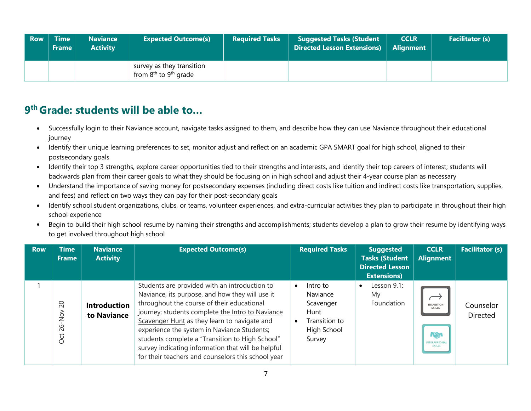| <b>Row</b> | <b>Time</b><br><b>Frame</b> | <b>Naviance</b><br><b>Activity</b> | <b>Expected Outcome(s)</b>                                                 | <b>Required Tasks</b> | <b>Suggested Tasks (Student</b><br><b>Directed Lesson Extensions)</b> | <b>CCLR</b><br><b>Alignment</b> | <b>Facilitator (s)</b> |
|------------|-----------------------------|------------------------------------|----------------------------------------------------------------------------|-----------------------|-----------------------------------------------------------------------|---------------------------------|------------------------|
|            |                             |                                    | survey as they transition<br>from 8 <sup>th</sup> to 9 <sup>th</sup> grade |                       |                                                                       |                                 |                        |

- Successfully login to their Naviance account, navigate tasks assigned to them, and describe how they can use Naviance throughout their educational journey
- Identify their unique learning preferences to set, monitor adjust and reflect on an academic GPA SMART goal for high school, aligned to their postsecondary goals
- Identify their top 3 strengths, explore career opportunities tied to their strengths and interests, and identify their top careers of interest; students will backwards plan from their career goals to what they should be focusing on in high school and adjust their 4-year course plan as necessary
- Understand the importance of saving money for postsecondary expenses (including direct costs like tuition and indirect costs like transportation, supplies, and fees) and reflect on two ways they can pay for their post-secondary goals
- Identify school student organizations, clubs, or teams, volunteer experiences, and extra-curricular activities they plan to participate in throughout their high school experience
- Begin to build their high school resume by naming their strengths and accomplishments; students develop a plan to grow their resume by identifying ways to get involved throughout high school

| <b>Row</b> | <b>Time</b><br><b>Frame</b>            | <b>Naviance</b><br><b>Activity</b> | <b>Expected Outcome(s)</b>                                                                                                                                                                                                                                                                                                                                                                                                                                       | <b>Required Tasks</b>                                                               | <b>Suggested</b><br><b>Tasks (Student</b><br><b>Directed Lesson</b><br><b>Extensions)</b> | <b>CCLR</b><br><b>Alignment</b>                                                   | <b>Facilitator (s)</b> |
|------------|----------------------------------------|------------------------------------|------------------------------------------------------------------------------------------------------------------------------------------------------------------------------------------------------------------------------------------------------------------------------------------------------------------------------------------------------------------------------------------------------------------------------------------------------------------|-------------------------------------------------------------------------------------|-------------------------------------------------------------------------------------------|-----------------------------------------------------------------------------------|------------------------|
|            | $\Omega$<br>$\frac{5}{2}$<br>82<br>Oct | <b>Introduction</b><br>to Naviance | Students are provided with an introduction to<br>Naviance, its purpose, and how they will use it<br>throughout the course of their educational<br>journey; students complete the Intro to Naviance<br>Scavenger Hunt as they learn to navigate and<br>experience the system in Naviance Students;<br>students complete a "Transition to High School"<br>survey indicating information that will be helpful<br>for their teachers and counselors this school year | Intro to<br>Naviance<br>Scavenger<br>Hunt<br>Transition to<br>High School<br>Survey | Lesson 9.1:<br>$\bullet$<br>My<br>Foundation                                              | <b>TRANSITION</b><br><b>SKILLS</b><br>KN<br><b>INTERPERSONAL</b><br><b>SKILLS</b> | Counselor<br>Directed  |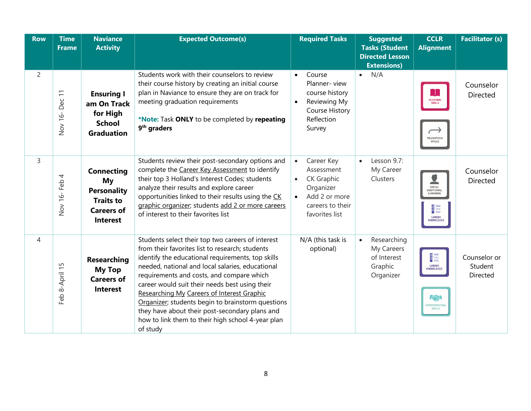| <b>Row</b>     | <b>Time</b><br><b>Frame</b> | <b>Naviance</b><br><b>Activity</b>                                                                        | <b>Expected Outcome(s)</b>                                                                                                                                                                                                                                                                                                                                                                                                                                                                                                         | <b>Required Tasks</b>                                                                                                                                    | <b>Suggested</b><br><b>Tasks (Student</b><br><b>Directed Lesson</b><br><b>Extensions)</b> | <b>CCLR</b><br><b>Alignment</b>                                           | <b>Facilitator (s)</b>              |
|----------------|-----------------------------|-----------------------------------------------------------------------------------------------------------|------------------------------------------------------------------------------------------------------------------------------------------------------------------------------------------------------------------------------------------------------------------------------------------------------------------------------------------------------------------------------------------------------------------------------------------------------------------------------------------------------------------------------------|----------------------------------------------------------------------------------------------------------------------------------------------------------|-------------------------------------------------------------------------------------------|---------------------------------------------------------------------------|-------------------------------------|
| $\overline{2}$ | Dec 11<br>Nov 16-           | <b>Ensuring I</b><br>am On Track<br>for High<br><b>School</b><br><b>Graduation</b>                        | Students work with their counselors to review<br>their course history by creating an initial course<br>plan in Naviance to ensure they are on track for<br>meeting graduation requirements<br>*Note: Task ONLY to be completed by repeating<br>9 <sup>th</sup> graders                                                                                                                                                                                                                                                             | Course<br>$\bullet$<br>Planner-view<br>course history<br>Reviewing My<br>$\bullet$<br><b>Course History</b><br>Reflection<br>Survey                      | N/A<br>$\bullet$                                                                          | T<br><b>ACADEMIC</b><br>SKILLS<br>TRANSITION<br><b>SKILLS</b>             | Counselor<br><b>Directed</b>        |
| 3              | Nov 16-Feb 4                | <b>Connecting</b><br>My<br><b>Personality</b><br><b>Traits to</b><br><b>Careers of</b><br><b>Interest</b> | Students review their post-secondary options and<br>complete the Career Key Assessment to identify<br>their top 3 Holland's Interest Codes; students<br>analyze their results and explore career<br>opportunities linked to their results using the CK<br>graphic organizer; students add 2 or more careers<br>of interest to their favorites list                                                                                                                                                                                 | Career Key<br>$\bullet$<br>Assessment<br><b>CK Graphic</b><br>$\bullet$<br>Organizer<br>Add 2 or more<br>$\bullet$<br>careers to their<br>favorites list | Lesson 9.7:<br>$\bullet$<br>My Career<br>Clusters                                         | SOCIAL<br>EMOTIONAL<br>LEARNING<br>쁥<br><b>CAREER</b><br><b>KNOWLEDGE</b> | Counselor<br>Directed               |
| $\overline{4}$ | Feb 8-April 15              | <b>Researching</b><br><b>My Top</b><br><b>Careers of</b><br><b>Interest</b>                               | Students select their top two careers of interest<br>from their favorites list to research; students<br>identify the educational requirements, top skills<br>needed, national and local salaries, educational<br>requirements and costs, and compare which<br>career would suit their needs best using their<br>Researching My Careers of Interest Graphic<br>Organizer; students begin to brainstorm questions<br>they have about their post-secondary plans and<br>how to link them to their high school 4-year plan<br>of study | N/A (this task is<br>optional)                                                                                                                           | Researching<br>$\bullet$<br>My Careers<br>of Interest<br>Graphic<br>Organizer             | 여<br>기<br><b>CAREER</b><br>KNOWLEDGE<br>$T_{\infty}$<br>INTERPERSONAL     | Counselor or<br>Student<br>Directed |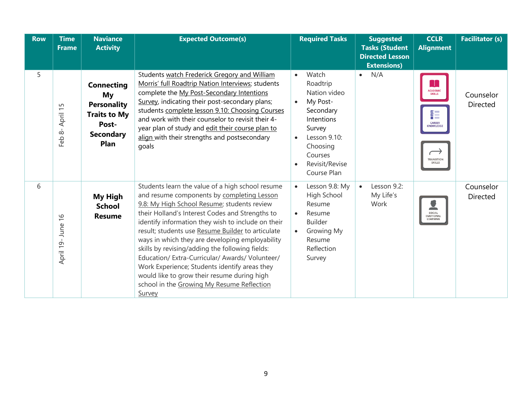| <b>Row</b> | <b>Time</b><br><b>Frame</b>                              | <b>Naviance</b><br><b>Activity</b>                                                                        | <b>Expected Outcome(s)</b>                                                                                                                                                                                                                                                                                                                                                                                                                                                                                                                                                                                                          | <b>Required Tasks</b>                                                                                                                                                                             | <b>Suggested</b><br><b>Tasks (Student</b><br><b>Directed Lesson</b><br><b>Extensions)</b> | <b>CCLR</b><br><b>Alignment</b>                                                                           | <b>Facilitator (s)</b>       |
|------------|----------------------------------------------------------|-----------------------------------------------------------------------------------------------------------|-------------------------------------------------------------------------------------------------------------------------------------------------------------------------------------------------------------------------------------------------------------------------------------------------------------------------------------------------------------------------------------------------------------------------------------------------------------------------------------------------------------------------------------------------------------------------------------------------------------------------------------|---------------------------------------------------------------------------------------------------------------------------------------------------------------------------------------------------|-------------------------------------------------------------------------------------------|-----------------------------------------------------------------------------------------------------------|------------------------------|
| 5          | April 15<br>$\overset{\rightharpoonup }{\infty }$<br>Feb | <b>Connecting</b><br>My<br><b>Personality</b><br><b>Traits to My</b><br>Post-<br><b>Secondary</b><br>Plan | Students watch Frederick Gregory and William<br>Morris' full Roadtrip Nation Interviews; students<br>complete the My Post-Secondary Intentions<br>Survey, indicating their post-secondary plans;<br>students complete lesson 9.10: Choosing Courses<br>and work with their counselor to revisit their 4-<br>year plan of study and edit their course plan to<br>align with their strengths and postsecondary<br>goals                                                                                                                                                                                                               | Watch<br>$\bullet$<br>Roadtrip<br>Nation video<br>My Post-<br>$\bullet$<br>Secondary<br>Intentions<br>Survey<br>Lesson 9.10:<br>$\bullet$<br>Choosing<br>Courses<br>Revisit/Revise<br>Course Plan | N/A<br>$\bullet$                                                                          | <b>ACADEMIC</b><br>SKILLS<br>흹<br><b>CAREER</b><br><b>KNOWLEDGE</b><br><b>TRANSITION</b><br><b>SKILLS</b> | Counselor<br><b>Directed</b> |
| 6          | $\frac{9}{1}$<br>April 19- June                          | <b>My High</b><br><b>School</b><br><b>Resume</b>                                                          | Students learn the value of a high school resume<br>and resume components by completing Lesson<br>9.8: My High School Resume; students review<br>their Holland's Interest Codes and Strengths to<br>identify information they wish to include on their<br>result; students use Resume Builder to articulate<br>ways in which they are developing employability<br>skills by revising/adding the following fields:<br>Education/ Extra-Curricular/ Awards/ Volunteer/<br>Work Experience; Students identify areas they<br>would like to grow their resume during high<br>school in the Growing My Resume Reflection<br><b>Survey</b> | Lesson 9.8: My<br>$\bullet$<br>High School<br>Resume<br>Resume<br>$\bullet$<br><b>Builder</b><br>Growing My<br>$\bullet$<br>Resume<br>Reflection<br>Survey                                        | Lesson 9.2:<br>$\bullet$<br>My Life's<br>Work                                             | SOCIAL<br><b>EMOTIONAL</b><br>LEARNING                                                                    | Counselor<br><b>Directed</b> |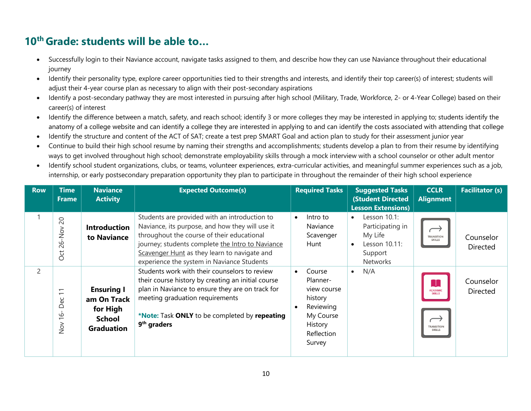- Successfully login to their Naviance account, navigate tasks assigned to them, and describe how they can use Naviance throughout their educational journey
- Identify their personality type, explore career opportunities tied to their strengths and interests, and identify their top career(s) of interest; students will adjust their 4-year course plan as necessary to align with their post-secondary aspirations
- Identify a post-secondary pathway they are most interested in pursuing after high school (Military, Trade, Workforce, 2- or 4-Year College) based on their career(s) of interest
- Identify the difference between a match, safety, and reach school; identify 3 or more colleges they may be interested in applying to; students identify the anatomy of a college website and can identify a college they are interested in applying to and can identify the costs associated with attending that college
- Identify the structure and content of the ACT of SAT; create a test prep SMART Goal and action plan to study for their assessment junior year
- Continue to build their high school resume by naming their strengths and accomplishments; students develop a plan to from their resume by identifying ways to get involved throughout high school; demonstrate employability skills through a mock interview with a school counselor or other adult mentor
- Identify school student organizations, clubs, or teams, volunteer experiences, extra-curricular activities, and meaningful summer experiences such as a job, internship, or early postsecondary preparation opportunity they plan to participate in throughout the remainder of their high school experience

| <b>Row</b>     | <b>Time</b><br><b>Frame</b>                                                                                             | <b>Naviance</b><br><b>Activity</b>                                                 | <b>Expected Outcome(s)</b>                                                                                                                                                                                                                                                                       | <b>Required Tasks</b>                                                                                     | <b>Suggested Tasks</b><br><b>(Student Directed</b><br><b>Lesson Extensions)</b>                  | <b>CCLR</b><br><b>Alignment</b>                                             | <b>Facilitator (s)</b> |
|----------------|-------------------------------------------------------------------------------------------------------------------------|------------------------------------------------------------------------------------|--------------------------------------------------------------------------------------------------------------------------------------------------------------------------------------------------------------------------------------------------------------------------------------------------|-----------------------------------------------------------------------------------------------------------|--------------------------------------------------------------------------------------------------|-----------------------------------------------------------------------------|------------------------|
|                | $\overline{c}$<br>$-NO$<br>82<br>Oct                                                                                    | <b>Introduction</b><br>to Naviance                                                 | Students are provided with an introduction to<br>Naviance, its purpose, and how they will use it<br>throughout the course of their educational<br>journey; students complete the Intro to Naviance<br>Scavenger Hunt as they learn to navigate and<br>experience the system in Naviance Students | Intro to<br>$\bullet$<br>Naviance<br>Scavenger<br>Hunt                                                    | Lesson 10.1:<br>$\bullet$<br>Participating in<br>My Life<br>Lesson 10.11:<br>Support<br>Networks | <b>TRANSITION</b><br><b>SKILLS</b>                                          | Counselor<br>Directed  |
| $\overline{c}$ | $\overline{\phantom{0}}$<br>$\overline{\phantom{0}}$<br>မိ<br>≏<br>$\circ$<br>$\overline{\phantom{0}}$<br>$\frac{5}{2}$ | <b>Ensuring I</b><br>am On Track<br>for High<br><b>School</b><br><b>Graduation</b> | Students work with their counselors to review<br>their course history by creating an initial course<br>plan in Naviance to ensure they are on track for<br>meeting graduation requirements<br>*Note: Task ONLY to be completed by repeating<br>9 <sup>th</sup> graders                           | Course<br>Planner-<br>view course<br>history<br>Reviewing<br>My Course<br>History<br>Reflection<br>Survey | N/A<br>$\bullet$                                                                                 | Æ<br><b>ACADEMIC</b><br><b>SKILLS</b><br><b>TRANSITION</b><br><b>SKILLS</b> | Counselor<br>Directed  |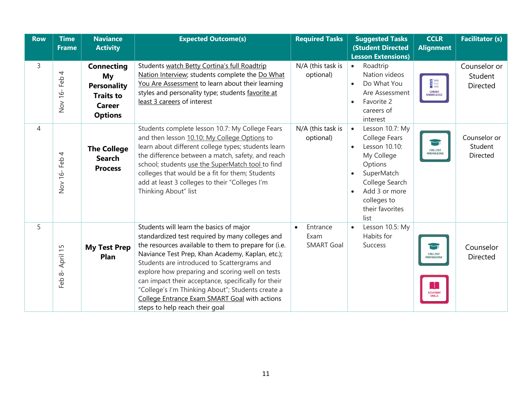| <b>Row</b>     | <b>Time</b><br><b>Frame</b> | <b>Naviance</b><br><b>Activity</b>                                                                   | <b>Expected Outcome(s)</b>                                                                                                                                                                                                                                                                                                                                                                                                                                                                              | <b>Required Tasks</b>                 | <b>Suggested Tasks</b><br><b>(Student Directed</b><br><b>Lesson Extensions)</b>                                                                                                                 | <b>CCLR</b><br><b>Alignment</b>                                 | <b>Facilitator (s)</b>                     |
|----------------|-----------------------------|------------------------------------------------------------------------------------------------------|---------------------------------------------------------------------------------------------------------------------------------------------------------------------------------------------------------------------------------------------------------------------------------------------------------------------------------------------------------------------------------------------------------------------------------------------------------------------------------------------------------|---------------------------------------|-------------------------------------------------------------------------------------------------------------------------------------------------------------------------------------------------|-----------------------------------------------------------------|--------------------------------------------|
| 3              | 4<br>Feb<br>Nov 16-         | <b>Connecting</b><br>My<br><b>Personality</b><br><b>Traits to</b><br><b>Career</b><br><b>Options</b> | Students watch Betty Cortina's full Roadtrip<br>Nation Interview; students complete the Do What<br>You Are Assessment to learn about their learning<br>styles and personality type; students favorite at<br>least 3 careers of interest                                                                                                                                                                                                                                                                 | N/A (this task is<br>optional)        | Roadtrip<br>$\bullet$<br>Nation videos<br>Do What You<br>$\bullet$<br>Are Assessment<br>Favorite 2<br>$\bullet$<br>careers of<br>interest                                                       | ¥≣<br><b>CAREER</b><br>KNOWLEDGE                                | Counselor or<br>Student<br><b>Directed</b> |
| $\overline{4}$ | 4<br>Nov 16-Feb             | <b>The College</b><br><b>Search</b><br><b>Process</b>                                                | Students complete lesson 10.7: My College Fears<br>and then lesson 10.10: My College Options to<br>learn about different college types; students learn<br>the difference between a match, safety, and reach<br>school; students use the SuperMatch tool to find<br>colleges that would be a fit for them; Students<br>add at least 3 colleges to their "Colleges I'm<br>Thinking About" list                                                                                                            | N/A (this task is<br>optional)        | Lesson 10.7: My<br>$\bullet$<br>College Fears<br>Lesson 10.10:<br>$\bullet$<br>My College<br>Options<br>SuperMatch<br>College Search<br>Add 3 or more<br>colleges to<br>their favorites<br>list | $\lnot$<br><b>COLLEGE</b><br>KNOWLEDGE                          | Counselor or<br>Student<br>Directed        |
| 5              | April 15<br>Feb $8-$        | <b>My Test Prep</b><br>Plan                                                                          | Students will learn the basics of major<br>standardized test required by many colleges and<br>the resources available to them to prepare for (i.e.<br>Naviance Test Prep, Khan Academy, Kaplan, etc.);<br>Students are introduced to Scattergrams and<br>explore how preparing and scoring well on tests<br>can impact their acceptance, specifically for their<br>"College's I'm Thinking About"; Students create a<br>College Entrance Exam SMART Goal with actions<br>steps to help reach their goal | Entrance<br>Exam<br><b>SMART Goal</b> | Lesson 10.5: My<br>Habits for<br><b>Success</b>                                                                                                                                                 | <b>COLLEGE</b><br>KNOWLEDGE<br><b>ACADEMIC</b><br><b>SKILLS</b> | Counselor<br><b>Directed</b>               |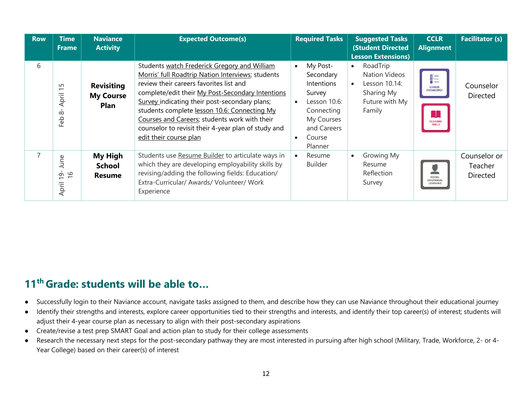| <b>Row</b> | Time<br>Frame                                  | <b>Naviance</b><br><b>Activity</b>                   | <b>Expected Outcome(s)</b>                                                                                                                                                                                                                                                                                                                                                                                                          | <b>Required Tasks</b>                                                                                                         |                        | <b>Suggested Tasks</b><br><b>(Student Directed</b><br><b>Lesson Extensions)</b>             | <b>CCLR</b><br><b>Alignment</b>                                                 | <b>Facilitator (s)</b>                     |
|------------|------------------------------------------------|------------------------------------------------------|-------------------------------------------------------------------------------------------------------------------------------------------------------------------------------------------------------------------------------------------------------------------------------------------------------------------------------------------------------------------------------------------------------------------------------------|-------------------------------------------------------------------------------------------------------------------------------|------------------------|---------------------------------------------------------------------------------------------|---------------------------------------------------------------------------------|--------------------------------------------|
| 6          | $\sqrt{ }$<br>April<br>$\infty$<br>Ρę<br>ட்    | <b>Revisiting</b><br><b>My Course</b><br><b>Plan</b> | Students watch Frederick Gregory and William<br>Morris' full Roadtrip Nation Interviews; students<br>review their careers favorites list and<br>complete/edit their My Post-Secondary Intentions<br>Survey indicating their post-secondary plans;<br>students complete lesson 10.6: Connecting My<br>Courses and Careers; students work with their<br>counselor to revisit their 4-year plan of study and<br>edit their course plan | My Post-<br>Secondary<br>Intentions<br>Survey<br>Lesson 10.6:<br>Connecting<br>My Courses<br>and Careers<br>Course<br>Planner | $\bullet$<br>$\bullet$ | RoadTrip<br><b>Nation Videos</b><br>Lesson 10.14:<br>Sharing My<br>Future with My<br>Family | 췙<br><b>CAREER</b><br><b>KNOWLEDGE</b><br>H<br><b>ACADEMIC</b><br><b>SKILLS</b> | Counselor<br><b>Directed</b>               |
| 7          | ρq<br>$\supset$<br>$\frac{9}{1}$<br>ന<br>April | <b>My High</b><br><b>School</b><br><b>Resume</b>     | Students use Resume Builder to articulate ways in<br>which they are developing employability skills by<br>revising/adding the following fields: Education/<br>Extra-Curricular/ Awards/ Volunteer/ Work<br>Experience                                                                                                                                                                                                               | Resume<br>Builder                                                                                                             | $\bullet$              | Growing My<br>Resume<br>Reflection<br>Survey                                                | SOCIAL<br><b>EMOTIONAL</b><br>LEARNING                                          | Counselor or<br>Teacher<br><b>Directed</b> |

- Successfully login to their Naviance account, navigate tasks assigned to them, and describe how they can use Naviance throughout their educational journey
- Identify their strengths and interests, explore career opportunities tied to their strengths and interests, and identify their top career(s) of interest; students will adjust their 4-year course plan as necessary to align with their post-secondary aspirations
- Create/revise a test prep SMART Goal and action plan to study for their college assessments
- Research the necessary next steps for the post-secondary pathway they are most interested in pursuing after high school (Military, Trade, Workforce, 2- or 4- Year College) based on their career(s) of interest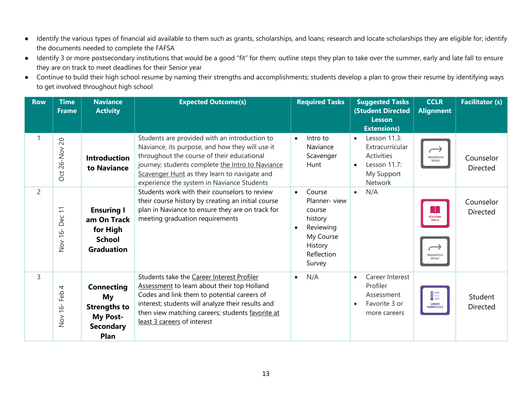- Identify the various types of financial aid available to them such as grants, scholarships, and loans; research and locate scholarships they are eligible for; identify the documents needed to complete the FAFSA
- Identify 3 or more postsecondary institutions that would be a good "fit" for them; outline steps they plan to take over the summer, early and late fall to ensure they are on track to meet deadlines for their Senior year
- Continue to build their high school resume by naming their strengths and accomplishments; students develop a plan to grow their resume by identifying ways to get involved throughout high school

| <b>Row</b>     | <b>Time</b><br><b>Frame</b>                       | <b>Naviance</b><br><b>Activity</b>                                                            | <b>Expected Outcome(s)</b>                                                                                                                                                                                                                                                                       | <b>Required Tasks</b>                                                                                                              | <b>Suggested Tasks</b><br><b>(Student Directed)</b><br><b>Lesson</b>                                             | <b>CCLR</b><br><b>Alignment</b>                                       | <b>Facilitator (s)</b>       |
|----------------|---------------------------------------------------|-----------------------------------------------------------------------------------------------|--------------------------------------------------------------------------------------------------------------------------------------------------------------------------------------------------------------------------------------------------------------------------------------------------|------------------------------------------------------------------------------------------------------------------------------------|------------------------------------------------------------------------------------------------------------------|-----------------------------------------------------------------------|------------------------------|
|                |                                                   |                                                                                               |                                                                                                                                                                                                                                                                                                  |                                                                                                                                    | <b>Extensions)</b>                                                                                               |                                                                       |                              |
| $\mathbf{1}$   | $\overline{C}$<br>Oct 26-Nov                      | <b>Introduction</b><br>to Naviance                                                            | Students are provided with an introduction to<br>Naviance, its purpose, and how they will use it<br>throughout the course of their educational<br>journey; students complete the Intro to Naviance<br>Scavenger Hunt as they learn to navigate and<br>experience the system in Naviance Students | Intro to<br>$\bullet$<br>Naviance<br>Scavenger<br>Hunt                                                                             | Lesson 11.3:<br>$\bullet$<br>Extracurricular<br>Activities<br>Lesson 11.7:<br>$\bullet$<br>My Support<br>Network | $\longrightarrow$<br>TRANSITION<br>SKILLS                             | Counselor<br>Directed        |
| $\overline{2}$ | $\overline{\overline{a}}$<br>Dec<br>$16 -$<br>Nov | <b>Ensuring I</b><br>am On Track<br>for High<br><b>School</b><br><b>Graduation</b>            | Students work with their counselors to review<br>their course history by creating an initial course<br>plan in Naviance to ensure they are on track for<br>meeting graduation requirements                                                                                                       | Course<br>$\bullet$<br>Planner-view<br>course<br>history<br>Reviewing<br>$\bullet$<br>My Course<br>History<br>Reflection<br>Survey | N/A<br>$\bullet$                                                                                                 | H.<br><b>ACADEMIC</b><br>SKILLS<br><b>TRANSITION</b><br><b>SKILLS</b> | Counselor<br><b>Directed</b> |
| $\overline{3}$ | 4<br>Feb<br>$16 -$<br>Nov                         | <b>Connecting</b><br>My<br><b>Strengths to</b><br><b>My Post-</b><br><b>Secondary</b><br>Plan | Students take the Career Interest Profiler<br>Assessment to learn about their top Holland<br>Codes and link them to potential careers of<br>interest; students will analyze their results and<br>then view matching careers; students favorite at<br>least 3 careers of interest                 | N/A<br>$\bullet$                                                                                                                   | Career Interest<br>$\bullet$<br>Profiler<br>Assessment<br>Favorite 3 or<br>more careers                          | 흹<br><b>CAREER</b><br>KNOWLEDGE                                       | Student<br><b>Directed</b>   |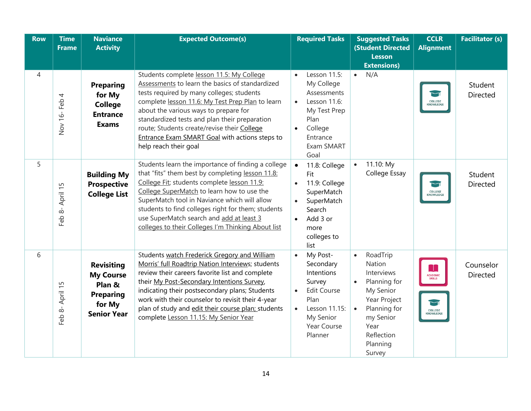| <b>Row</b>     | <b>Time</b><br><b>Frame</b> | <b>Naviance</b><br><b>Activity</b>                                                                  | <b>Expected Outcome(s)</b>                                                                                                                                                                                                                                                                                                                                                                                        | <b>Required Tasks</b>                                                                                                                                                      | <b>Suggested Tasks</b><br><b>(Student Directed</b><br><b>Lesson</b><br><b>Extensions)</b>                                                                                                            | <b>CCLR</b><br><b>Alignment</b>                         | <b>Facilitator (s)</b>     |
|----------------|-----------------------------|-----------------------------------------------------------------------------------------------------|-------------------------------------------------------------------------------------------------------------------------------------------------------------------------------------------------------------------------------------------------------------------------------------------------------------------------------------------------------------------------------------------------------------------|----------------------------------------------------------------------------------------------------------------------------------------------------------------------------|------------------------------------------------------------------------------------------------------------------------------------------------------------------------------------------------------|---------------------------------------------------------|----------------------------|
| $\overline{4}$ | Nov 16-Feb 4                | <b>Preparing</b><br>for My<br><b>College</b><br><b>Entrance</b><br><b>Exams</b>                     | Students complete lesson 11.5: My College<br>Assessments to learn the basics of standardized<br>tests required by many colleges; students<br>complete lesson 11.6: My Test Prep Plan to learn<br>about the various ways to prepare for<br>standardized tests and plan their preparation<br>route; Students create/revise their College<br>Entrance Exam SMART Goal with actions steps to<br>help reach their goal | Lesson 11.5:<br>$\bullet$<br>My College<br>Assessments<br>Lesson 11.6:<br>$\bullet$<br>My Test Prep<br>Plan<br>College<br>$\bullet$<br>Entrance<br>Exam SMART<br>Goal      | N/A<br>$\bullet$                                                                                                                                                                                     | <b>COLLEGE</b><br>KNOWLEDGE                             | Student<br>Directed        |
| 5              | Feb 8- April 15             | <b>Building My</b><br><b>Prospective</b><br><b>College List</b>                                     | Students learn the importance of finding a college<br>that "fits" them best by completing lesson 11.8:<br>College Fit; students complete lesson 11.9:<br>College SuperMatch to learn how to use the<br>SuperMatch tool in Naviance which will allow<br>students to find colleges right for them; students<br>use SuperMatch search and add at least 3<br>colleges to their Colleges I'm Thinking About list       | 11.8: College<br>$\bullet$<br>Fit<br>11.9: College<br>$\bullet$<br>SuperMatch<br>SuperMatch<br>$\bullet$<br>Search<br>Add 3 or<br>$\bullet$<br>more<br>colleges to<br>list | 11.10: My<br>$\bullet$<br>College Essay                                                                                                                                                              | <b>COLLEGE</b><br>KNOWLEDGE                             | Student<br><b>Directed</b> |
| 6              | Feb 8- April 15             | <b>Revisiting</b><br><b>My Course</b><br>Plan &<br><b>Preparing</b><br>for My<br><b>Senior Year</b> | Students watch Frederick Gregory and William<br>Morris' full Roadtrip Nation Interviews; students<br>review their careers favorite list and complete<br>their My Post-Secondary Intentions Survey,<br>indicating their postsecondary plans; Students<br>work with their counselor to revisit their 4-year<br>plan of study and edit their course plan; students<br>complete Lesson 11.15: My Senior Year          | My Post-<br>$\bullet$<br>Secondary<br>Intentions<br>Survey<br>Edit Course<br>$\bullet$<br>Plan<br>Lesson 11.15:<br>$\bullet$<br>My Senior<br>Year Course<br>Planner        | RoadTrip<br>$\bullet$<br><b>Nation</b><br>Interviews<br>Planning for<br>$\bullet$<br>My Senior<br>Year Project<br>Planning for<br>$\bullet$<br>my Senior<br>Year<br>Reflection<br>Planning<br>Survey | Т.<br><b>ACADEMIC</b><br>SKILLS<br>COLLEGE<br>KNOWLEDGE | Counselor<br>Directed      |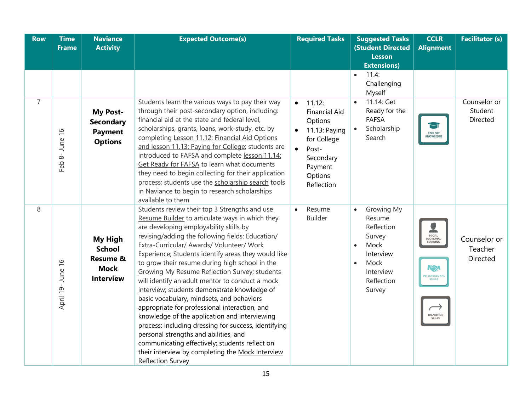| <b>Row</b>     | <b>Time</b><br><b>Frame</b> | <b>Naviance</b><br><b>Activity</b>                                                        | <b>Expected Outcome(s)</b>                                                                                                                                                                                                                                                                                                                                                                                                                                                                                                                                                                                                                                                                                                                                                                                                                                                                        | <b>Required Tasks</b>                                                                                                                                                      | <b>Suggested Tasks</b><br><b>(Student Directed</b>                                                                                                    | <b>CCLR</b><br><b>Alignment</b>                                                                  | <b>Facilitator (s)</b>                     |
|----------------|-----------------------------|-------------------------------------------------------------------------------------------|---------------------------------------------------------------------------------------------------------------------------------------------------------------------------------------------------------------------------------------------------------------------------------------------------------------------------------------------------------------------------------------------------------------------------------------------------------------------------------------------------------------------------------------------------------------------------------------------------------------------------------------------------------------------------------------------------------------------------------------------------------------------------------------------------------------------------------------------------------------------------------------------------|----------------------------------------------------------------------------------------------------------------------------------------------------------------------------|-------------------------------------------------------------------------------------------------------------------------------------------------------|--------------------------------------------------------------------------------------------------|--------------------------------------------|
|                |                             |                                                                                           |                                                                                                                                                                                                                                                                                                                                                                                                                                                                                                                                                                                                                                                                                                                                                                                                                                                                                                   |                                                                                                                                                                            | <b>Lesson</b>                                                                                                                                         |                                                                                                  |                                            |
|                |                             |                                                                                           |                                                                                                                                                                                                                                                                                                                                                                                                                                                                                                                                                                                                                                                                                                                                                                                                                                                                                                   |                                                                                                                                                                            | <b>Extensions)</b><br>11.4:<br>$\bullet$<br>Challenging<br>Myself                                                                                     |                                                                                                  |                                            |
| $\overline{7}$ | Feb 8- June 16              | <b>My Post-</b><br><b>Secondary</b><br><b>Payment</b><br><b>Options</b>                   | Students learn the various ways to pay their way<br>through their post-secondary option, including:<br>financial aid at the state and federal level,<br>scholarships, grants, loans, work-study, etc. by<br>completing Lesson 11.12: Financial Aid Options<br>and lesson 11.13: Paying for College; students are<br>introduced to FAFSA and complete lesson 11.14:<br>Get Ready for FAFSA to learn what documents<br>they need to begin collecting for their application<br>process; students use the scholarship search tools<br>in Naviance to begin to research scholarships<br>available to them                                                                                                                                                                                                                                                                                              | 11.12:<br>$\bullet$<br><b>Financial Aid</b><br>Options<br>11.13: Paying<br>$\bullet$<br>for College<br>Post-<br>$\bullet$<br>Secondary<br>Payment<br>Options<br>Reflection | 11.14: Get<br>$\bullet$<br>Ready for the<br><b>FAFSA</b><br>Scholarship<br>$\bullet$<br>Search                                                        | <b>COLLEGE</b><br>KNOWLEDGE                                                                      | Counselor or<br>Student<br>Directed        |
| 8              | April 19- June 16           | <b>My High</b><br><b>School</b><br><b>Resume &amp;</b><br><b>Mock</b><br><b>Interview</b> | Students review their top 3 Strengths and use<br>Resume Builder to articulate ways in which they<br>are developing employability skills by<br>revising/adding the following fields: Education/<br>Extra-Curricular/ Awards/ Volunteer/ Work<br>Experience; Students identify areas they would like<br>to grow their resume during high school in the<br><b>Growing My Resume Reflection Survey; students</b><br>will identify an adult mentor to conduct a mock<br>interview; students demonstrate knowledge of<br>basic vocabulary, mindsets, and behaviors<br>appropriate for professional interaction, and<br>knowledge of the application and interviewing<br>process: including dressing for success, identifying<br>personal strengths and abilities, and<br>communicating effectively; students reflect on<br>their interview by completing the Mock Interview<br><b>Reflection Survey</b> | Resume<br>$\bullet$<br><b>Builder</b>                                                                                                                                      | Growing My<br>$\bullet$<br>Resume<br>Reflection<br>Survey<br>Mock<br>$\bullet$<br>Interview<br>Mock<br>$\bullet$<br>Interview<br>Reflection<br>Survey | SOCIAL<br><b>EMOTIONAL</b><br>LEARNING<br>$I(\sqrt{2})$<br>INTERPERSONAL<br>TRANSITION<br>SKILLS | Counselor or<br>Teacher<br><b>Directed</b> |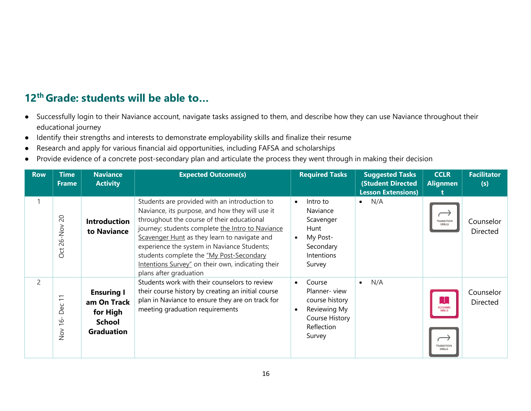- Successfully login to their Naviance account, navigate tasks assigned to them, and describe how they can use Naviance throughout their educational journey
- Identify their strengths and interests to demonstrate employability skills and finalize their resume
- Research and apply for various financial aid opportunities, including FAFSA and scholarships
- Provide evidence of a concrete post-secondary plan and articulate the process they went through in making their decision

| <b>Row</b>     | <b>Time</b><br><b>Frame</b>                                                                                   | <b>Naviance</b><br><b>Activity</b>                                                 | <b>Expected Outcome(s)</b>                                                                                                                                                                                                                                                                                                                                                                                                   | <b>Required Tasks</b>                                                                                                | <b>Suggested Tasks</b><br><b>(Student Directed</b><br><b>Lesson Extensions)</b> | <b>CCLR</b><br><b>Alignmen</b>                                         | <b>Facilitator</b><br>(s) |
|----------------|---------------------------------------------------------------------------------------------------------------|------------------------------------------------------------------------------------|------------------------------------------------------------------------------------------------------------------------------------------------------------------------------------------------------------------------------------------------------------------------------------------------------------------------------------------------------------------------------------------------------------------------------|----------------------------------------------------------------------------------------------------------------------|---------------------------------------------------------------------------------|------------------------------------------------------------------------|---------------------------|
| 1              | $\overline{c}$<br>$26 - Nov$<br><b>Oct</b>                                                                    | <b>Introduction</b><br>to Naviance                                                 | Students are provided with an introduction to<br>Naviance, its purpose, and how they will use it<br>throughout the course of their educational<br>journey; students complete the Intro to Naviance<br>Scavenger Hunt as they learn to navigate and<br>experience the system in Naviance Students;<br>students complete the "My Post-Secondary<br>Intentions Survey" on their own, indicating their<br>plans after graduation | Intro to<br>$\bullet$<br>Naviance<br>Scavenger<br>Hunt<br>My Post-<br>$\bullet$<br>Secondary<br>Intentions<br>Survey | N/A<br>$\bullet$                                                                | <b>TRANSITION</b><br><b>SKILLS</b>                                     | Counselor<br>Directed     |
| $\overline{2}$ | $\overline{\phantom{0}}$<br>$\overline{\phantom{0}}$<br>မိ<br>≏<br>$\circ$<br>$\overline{\phantom{0}}$<br>Nov | <b>Ensuring I</b><br>am On Track<br>for High<br><b>School</b><br><b>Graduation</b> | Students work with their counselors to review<br>their course history by creating an initial course<br>plan in Naviance to ensure they are on track for<br>meeting graduation requirements                                                                                                                                                                                                                                   | Course<br>Planner-view<br>course history<br>Reviewing My<br>$\bullet$<br>Course History<br>Reflection<br>Survey      | N/A                                                                             | <b>ACADEMIC</b><br><b>SKILLS</b><br><b>TRANSITION</b><br><b>SKILLS</b> | Counselor<br>Directed     |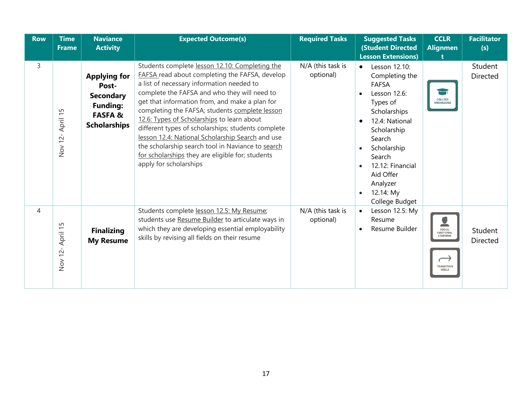| <b>Row</b> | <b>Time</b><br><b>Frame</b> | <b>Naviance</b><br><b>Activity</b>                                                                              | <b>Expected Outcome(s)</b>                                                                                                                                                                                                                                                                                                                                                                                                                                                                                                                                                                   | <b>Required Tasks</b>          | <b>Suggested Tasks</b><br><b>(Student Directed</b><br><b>Lesson Extensions)</b>                                                                                                                                                                          | <b>CCLR</b><br><b>Alignmen</b>                                 | <b>Facilitator</b><br>(s)  |
|------------|-----------------------------|-----------------------------------------------------------------------------------------------------------------|----------------------------------------------------------------------------------------------------------------------------------------------------------------------------------------------------------------------------------------------------------------------------------------------------------------------------------------------------------------------------------------------------------------------------------------------------------------------------------------------------------------------------------------------------------------------------------------------|--------------------------------|----------------------------------------------------------------------------------------------------------------------------------------------------------------------------------------------------------------------------------------------------------|----------------------------------------------------------------|----------------------------|
| 3          | April 15<br>Nov 12-         | <b>Applying for</b><br>Post-<br><b>Secondary</b><br><b>Funding:</b><br><b>FASFA&amp;</b><br><b>Scholarships</b> | Students complete lesson 12.10: Completing the<br>FAFSA read about completing the FAFSA, develop<br>a list of necessary information needed to<br>complete the FAFSA and who they will need to<br>get that information from, and make a plan for<br>completing the FAFSA; students complete lesson<br>12.6: Types of Scholarships to learn about<br>different types of scholarships; students complete<br>lesson 12.4: National Scholarship Search and use<br>the scholarship search tool in Naviance to search<br>for scholarships they are eligible for; students<br>apply for scholarships | N/A (this task is<br>optional) | Lesson 12.10:<br>$\bullet$<br>Completing the<br><b>FAFSA</b><br>Lesson 12.6:<br>Types of<br>Scholarships<br>12.4: National<br>Scholarship<br>Search<br>Scholarship<br>Search<br>12.12: Financial<br>Aid Offer<br>Analyzer<br>12.14: My<br>College Budget | COLLEGE<br>KNOWLEDGE                                           | Student<br><b>Directed</b> |
| 4          | April 15<br>Nov 12-         | <b>Finalizing</b><br><b>My Resume</b>                                                                           | Students complete lesson 12.5: My Resume;<br>students use Resume Builder to articulate ways in<br>which they are developing essential employability<br>skills by revising all fields on their resume                                                                                                                                                                                                                                                                                                                                                                                         | N/A (this task is<br>optional) | Lesson 12.5: My<br>$\bullet$<br>Resume<br>Resume Builder                                                                                                                                                                                                 | SOCIAL<br>EMOTIONAL<br>LEARNING<br>TRANSITION<br><b>SKILLS</b> | Student<br><b>Directed</b> |